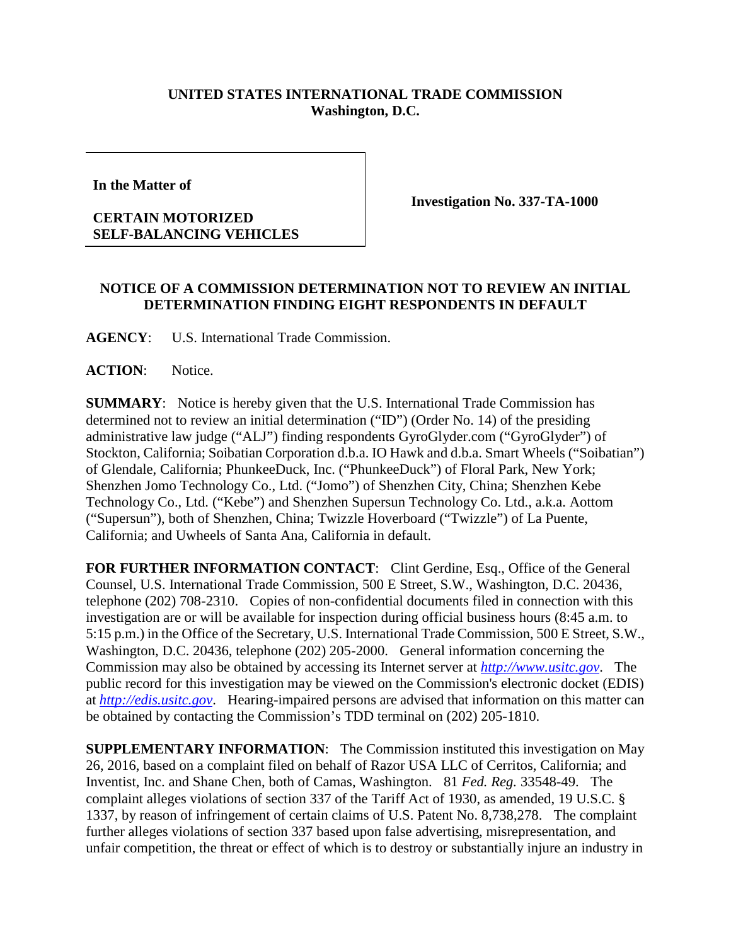## **UNITED STATES INTERNATIONAL TRADE COMMISSION Washington, D.C.**

**In the Matter of** 

## **CERTAIN MOTORIZED SELF-BALANCING VEHICLES**

**Investigation No. 337-TA-1000**

## **NOTICE OF A COMMISSION DETERMINATION NOT TO REVIEW AN INITIAL DETERMINATION FINDING EIGHT RESPONDENTS IN DEFAULT**

**AGENCY**: U.S. International Trade Commission.

**ACTION**: Notice.

**SUMMARY**: Notice is hereby given that the U.S. International Trade Commission has determined not to review an initial determination ("ID") (Order No. 14) of the presiding administrative law judge ("ALJ") finding respondents GyroGlyder.com ("GyroGlyder") of Stockton, California; Soibatian Corporation d.b.a. IO Hawk and d.b.a. Smart Wheels ("Soibatian") of Glendale, California; PhunkeeDuck, Inc. ("PhunkeeDuck") of Floral Park, New York; Shenzhen Jomo Technology Co., Ltd. ("Jomo") of Shenzhen City, China; Shenzhen Kebe Technology Co., Ltd. ("Kebe") and Shenzhen Supersun Technology Co. Ltd., a.k.a. Aottom ("Supersun"), both of Shenzhen, China; Twizzle Hoverboard ("Twizzle") of La Puente, California; and Uwheels of Santa Ana, California in default.

FOR FURTHER INFORMATION CONTACT: Clint Gerdine, Esq., Office of the General Counsel, U.S. International Trade Commission, 500 E Street, S.W., Washington, D.C. 20436, telephone (202) 708-2310. Copies of non-confidential documents filed in connection with this investigation are or will be available for inspection during official business hours (8:45 a.m. to 5:15 p.m.) in the Office of the Secretary, U.S. International Trade Commission, 500 E Street, S.W., Washington, D.C. 20436, telephone (202) 205-2000. General information concerning the Commission may also be obtained by accessing its Internet server at *[http://www.usitc.gov](http://www.usitc.gov/)*. The public record for this investigation may be viewed on the Commission's electronic docket (EDIS) at *[http://edis.usitc.gov](http://edis.usitc.gov/)*. Hearing-impaired persons are advised that information on this matter can be obtained by contacting the Commission's TDD terminal on (202) 205-1810.

**SUPPLEMENTARY INFORMATION**: The Commission instituted this investigation on May 26, 2016, based on a complaint filed on behalf of Razor USA LLC of Cerritos, California; and Inventist, Inc. and Shane Chen, both of Camas, Washington. 81 *Fed. Reg.* 33548-49. The complaint alleges violations of section 337 of the Tariff Act of 1930, as amended, 19 U.S.C. § 1337, by reason of infringement of certain claims of U.S. Patent No. 8,738,278. The complaint further alleges violations of section 337 based upon false advertising, misrepresentation, and unfair competition, the threat or effect of which is to destroy or substantially injure an industry in